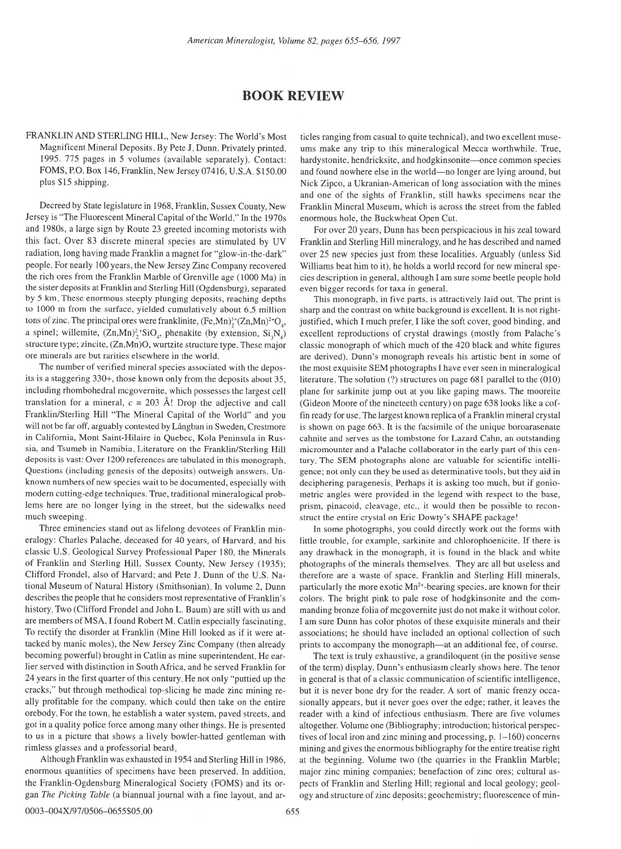## BOOK REVIEW

FRANKLIN AND STERLING HILL, New Jersey: The World's Most Magnificent Mineral Deposits. By Pete J. Dunn. Privately printed. 1995. 775 pages in 5 volumes (available separately). Contact: FOMS, P.O. Box 146, Franklin, New Jersey 07416, U.S.A \$150.00 plus \$15 shipping.

Decreed by State legislature in 1968, Franklin, Sussex County, New Jersey is "The Fluorescent Mineral Capital of the World " In the 1970s and 1980s, a large sign by Route 23 greeted incoming motorists with this fact. Over 83 discrete mineral species are stimulated by UV radiation, long having made Franklin a magnet for "glow-in-the-dark" people. For nearly 100 years, the New Jersey Zinc Company recovered the rich ores from the Franklin Marble of Grenville age (1000 Ma) in the sister deposits at Franklin and Sterling Hill (Ogdensburg), separated by 5 km These enormous steeply plunging deposits, reaching depths to 1000 m from the surface, yielded cumulatively about 6 5 million tons of zinc. The principal ores were franklinite,  $(Fe, Mn)^{3+}(Zn, Mn)^{2+}O<sub>a</sub>$ , a spinel; willemite,  $(Zn, Mn)^2/SiO_a$ , phenakite (by extension,  $Si_1N_a$ ) structure type; zincite, (Zn,Mn)O, wurtzite structure type. These major ore minerals are but rarities elsewhere in the world.

The number of verified mineral species associated with the deposits is a staggering 330+, those known only from the deposits about 35, including rhombohedral mcgovernite, which possesses the largest cell translation for a mineral,  $c = 203$  Å! Drop the adjective and call Franklin/Sterling Hill "The Mineral Capital of the World" and you will not be far off, arguably contested by Långban in Sweden, Crestmore in California, Mont Saint-Hilaire in Quebec, Kola Peninsula in Russia, and Tsumeb in Namibia. Literature on the Franklin/Sterling Hill deposits is vast: Over 1200 references are tabulated in this monograph Questions (including genesis of the deposits) outweigh answers. Unknown numbers of new species wait to be documented, especially with modern cutting-edge techniques. True, traditional mineralogical problems here are no longer lying in the street, but the sidewalks need much sweeping

Three eminencies stand out as lifelong devotees of Franklin mineralogy: Charles Palache, deceased for 40 years, of Harvard, and his classic U.S Geological Survey Professional Paper 180, the Minerals of Franklin and Sterling Hill, Sussex County, New Jersey (1935); Clifford Frondel, also of Harvard; and Pete J. Dunn of the U.S. National Museum of Natural History (Smithsonian). In volume 2, Dunn describes the people that he considers most representative of Franklin's history, Two (Clifford Frondel and John L. Baum) are still with us and are members of MSA. I found Robert M. Catlin especially fascinating To rectify the disorder at Franklin (Mine Hill looked as if it were attacked by manic moles), the New Jersey Zinc Company (then already becoming powerful) brought in Catlin as mine superintendent. He earlier served with distinction in South Africa, and he served Franklin for 24 years in the first quarter of this century He not only "puttied up the cracks," but through methodical top-slicing he made zinc mining really profitable for the company, which could then take on the entire orebody For the town, he establish a water system, paved streets, and got in a quality police force among many other things. He is presented to us in a picture that shows a lively bowler-hatted gentleman with rimless glasses and a professorial beard

Although Franklin was exhausted in 1954 and Sterling Hill in 1986, enormous quantities of specimens have been preserved. In addition, the Franklin-Ogdensburg Mineralogical Society (FOMS) and its organ The Picking Table (a biannual journal with a fine layout, and articles ranging from casual to quite technical), and two excellent museums make any trip to this mineralogical Mecca worthwhile. True, hardystonite, hendricksite, and hodgkinsonite-once common species and found nowhere else in the world-no longer are lying around, but Nick Zipco, a Ukranian-American of long association with the mines and one of the sights of Franklin, still hawks specimens near the Franklin Mineral Museum. which is across the street from the fabled enormous hole, the Buckwheat Open Cut.

For over 20 years, Dunn has been perspicacious in his zeal toward Franklin and Sterling Hill mineralogy, and he has described and named over 25 new species just from these localities. Arguably (unless Sid Williams beat him to it), he holds a world record for new mineral species description in general, although I am sure some beetle people hold even bigger records for taxa in general

This monograph, in five parts, is attractively laid out. The print is sharp and the contrast on white background is excellent. It is not rightjustified, which I much prefer I like the soft cover, good binding, and excellent reproductions of crystal drawings (mostly from Palache's classic monograph of which much of the 420 black and white figures are derived). Dunn's monograph reveals his artistic bent in some of the most exquisite SEM photographs Ihave ever seen in mineralogical literature. The solution  $(?)$  structures on page 681 parallel to the  $(010)$ plane for sarkinite jump out at you like gaping maws. The mooreite (Gideon Moore of the nineteeth century) on page 638 looks like a coffin ready for use. The largest known replica of a Franklin mineral crystal is shown on page 663. It is the facsimile of the unique boroarasenate cahnite and serves as the tombstone for Lazard Cahn, an outstanding micromounter and a Palache collaborator in the early part of this century. The SEM photographs alone are valuable for scientific intelligence; not only can they be used as determinative tools, but they aid in deciphering paragenesis. Perhaps it is asking too much, but if goniometric angles were provided in the legend with respect to the base, prism, pinacoid, cleavage, etc., it would then be possible to reconstruct the entire crystal on Eric Dowty's SHAPE package!

In some photographs, you could directly work out the forms with little trouble, for example, sarkinite and chlorophoenicite. If there is any drawback in the monograph, it is found in the black and white photographs of the minerals themselves. They are all but useless and therefore are a waste of space Franklin and Sterling Hill minerals, particularly the more exotic Mn<sup>2+</sup>-bearing species, are known for their coiors. The bright pink to pale rose of hodgkinsonite and the commanding bronze foiia of mcgovemite just do not make it without color. I am sure Dunn has color photos of these exquisite minerals and their associations; he should have included an optional collection of such prints to accompany the monograph-at an additional fee, of course.

The text is truly exhaustive, a grandiloquent (in the positive sense of the term) display. Dunn's enthusiasm clearly shows here. The tenor in general is that of a classic communication of scientific intelligence, but it is never bone dry for the reader. A sort of manic frenzy occasionally appears, but it never goes over the edge; rather, it leaves the reader with a kind of infectious enthusiasm. There are five volumes altogether. Volume one (Bibliography; introduction; historical perspectives of local iron and zinc mining and processing,  $p<sub>r</sub>$  1–160) concerns mining and gives the enormous bibliography for the entire treatise right at the beginning. Volume two (the quarries in the Franklin Marble; major zinc mining companies; benefaction of zinc ores; cultural aspects of Franklin and Sterling Hill; regional and locai geology; geology and structure of zinc deposits; geochemistry; fluorescence of min